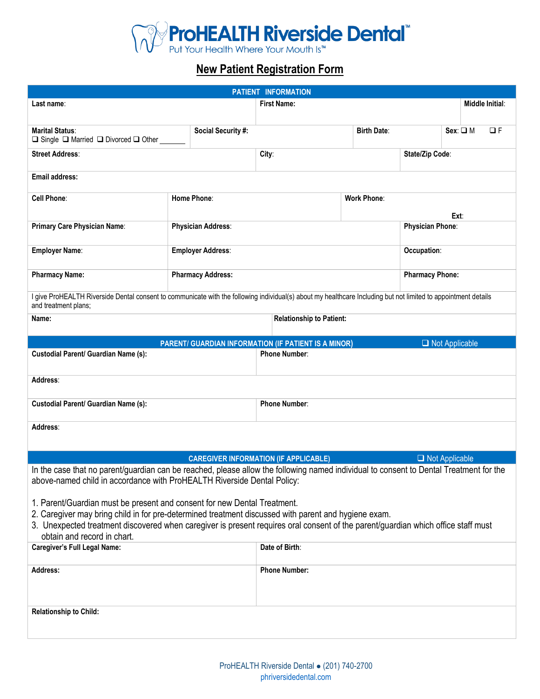

# **New Patient Registration Form**

| PATIENT INFORMATION                                                                                                                                                                                                                                                                                                                                  |                    |                           |                                                      |                          |                        |                       |                        |
|------------------------------------------------------------------------------------------------------------------------------------------------------------------------------------------------------------------------------------------------------------------------------------------------------------------------------------------------------|--------------------|---------------------------|------------------------------------------------------|--------------------------|------------------------|-----------------------|------------------------|
| Last name∶                                                                                                                                                                                                                                                                                                                                           |                    |                           | <b>First Name:</b>                                   |                          |                        |                       | <b>Middle Initial:</b> |
|                                                                                                                                                                                                                                                                                                                                                      |                    |                           |                                                      |                          |                        |                       |                        |
| <b>Marital Status:</b><br>□ Single □ Married □ Divorced □ Other                                                                                                                                                                                                                                                                                      | Social Security #: |                           |                                                      | <b>Birth Date:</b>       |                        | $Sex: \square M$      | $\Box F$               |
| <b>Street Address:</b>                                                                                                                                                                                                                                                                                                                               |                    |                           | City:                                                |                          | State/Zip Code:        |                       |                        |
| <b>Email address:</b>                                                                                                                                                                                                                                                                                                                                |                    |                           |                                                      |                          |                        |                       |                        |
| <b>Cell Phone:</b>                                                                                                                                                                                                                                                                                                                                   |                    | Home Phone:               |                                                      | <b>Work Phone:</b>       |                        |                       |                        |
| Primary Care Physician Name:                                                                                                                                                                                                                                                                                                                         |                    | <b>Physician Address:</b> |                                                      | Ext:<br>Physician Phone: |                        |                       |                        |
| <b>Employer Name:</b>                                                                                                                                                                                                                                                                                                                                |                    | <b>Employer Address:</b>  |                                                      |                          | Occupation:            |                       |                        |
| <b>Pharmacy Name:</b>                                                                                                                                                                                                                                                                                                                                |                    | <b>Pharmacy Address:</b>  |                                                      |                          | <b>Pharmacy Phone:</b> |                       |                        |
| I give ProHEALTH Riverside Dental consent to communicate with the following individual(s) about my healthcare Including but not limited to appointment details                                                                                                                                                                                       |                    |                           |                                                      |                          |                        |                       |                        |
| and treatment plans;<br>Name:                                                                                                                                                                                                                                                                                                                        |                    |                           | <b>Relationship to Patient:</b>                      |                          |                        |                       |                        |
|                                                                                                                                                                                                                                                                                                                                                      |                    |                           |                                                      |                          |                        |                       |                        |
|                                                                                                                                                                                                                                                                                                                                                      |                    |                           | PARENT/ GUARDIAN INFORMATION (IF PATIENT IS A MINOR) |                          |                        | $\Box$ Not Applicable |                        |
| <b>Custodial Parent/ Guardian Name (s):</b>                                                                                                                                                                                                                                                                                                          |                    |                           | <b>Phone Number:</b>                                 |                          |                        |                       |                        |
| Address:                                                                                                                                                                                                                                                                                                                                             |                    |                           |                                                      |                          |                        |                       |                        |
| <b>Custodial Parent/ Guardian Name (s):</b>                                                                                                                                                                                                                                                                                                          |                    | <b>Phone Number:</b>      |                                                      |                          |                        |                       |                        |
| Address:                                                                                                                                                                                                                                                                                                                                             |                    |                           |                                                      |                          |                        |                       |                        |
|                                                                                                                                                                                                                                                                                                                                                      |                    |                           |                                                      |                          |                        |                       |                        |
|                                                                                                                                                                                                                                                                                                                                                      |                    |                           | <b>CAREGIVER INFORMATION (IF APPLICABLE)</b>         |                          |                        | $\Box$ Not Applicable |                        |
| In the case that no parent/guardian can be reached, please allow the following named individual to consent to Dental Treatment for the<br>above-named child in accordance with ProHEALTH Riverside Dental Policy:                                                                                                                                    |                    |                           |                                                      |                          |                        |                       |                        |
| 1. Parent/Guardian must be present and consent for new Dental Treatment.<br>2. Caregiver may bring child in for pre-determined treatment discussed with parent and hygiene exam.<br>3. Unexpected treatment discovered when caregiver is present requires oral consent of the parent/guardian which office staff must<br>obtain and record in chart. |                    |                           |                                                      |                          |                        |                       |                        |
| <b>Caregiver's Full Legal Name:</b>                                                                                                                                                                                                                                                                                                                  |                    |                           | Date of Birth:                                       |                          |                        |                       |                        |
| Address:                                                                                                                                                                                                                                                                                                                                             |                    | <b>Phone Number:</b>      |                                                      |                          |                        |                       |                        |
|                                                                                                                                                                                                                                                                                                                                                      |                    |                           |                                                      |                          |                        |                       |                        |
| <b>Relationship to Child:</b>                                                                                                                                                                                                                                                                                                                        |                    |                           |                                                      |                          |                        |                       |                        |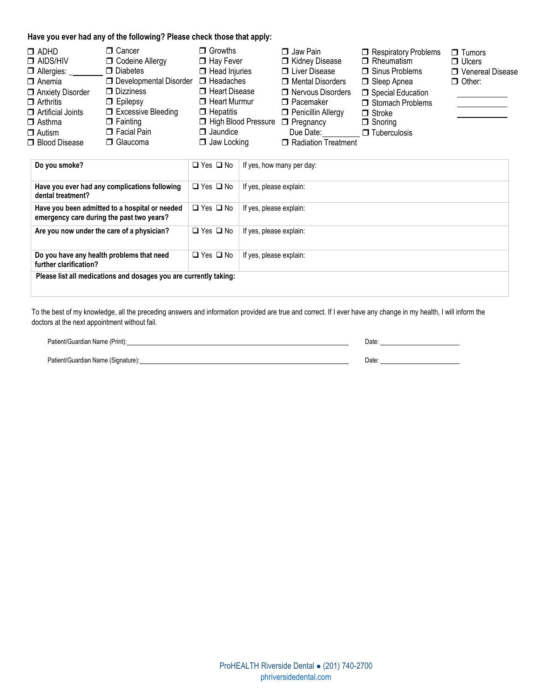#### **Have you ever had any of the following? Please check those that apply:**

| □ Cancer<br>$\Box$ ADHD<br>$\Box$ AIDS/HIV<br>$\Box$ Allergies:<br>$\Box$ Anemia<br>Anxiety Disorder<br>$\Box$ Arthritis<br>$\Box$ Artificial Joints<br>$\Box$ Fainting<br>$\Box$ Asthma<br>$\Box$ Autism<br>□ Blood Disease | <b>D</b> Codeine Allergy<br>$\Box$ Diabetes<br>$\Box$ Developmental Disorder $\Box$ Headaches<br>$\Box$ Dizziness<br>$\Box$ Epilepsy<br>□ Excessive Bleeding<br>$\Box$ Facial Pain<br>□ Glaucoma | $\Box$ Growths<br>$\Box$ Hay Fever<br>$\Box$ Head Injuries<br>□ Heart Disease<br>$\Box$ Heart Murmur<br>$\Box$ Hepatitis<br>High Blood Pressure<br>$\Box$ Jaundice<br>$\Box$ Jaw Locking | $\Box$ Jaw Pain<br>Kidney Disease<br><b>U</b> Liver Disease<br>□ Mental Disorders<br>□ Nervous Disorders<br>$\Box$ Pacemaker<br>Penicillin Allergy<br>$\Box$ Pregnancy<br>Due Date:<br>Radiation Treatment | Respiratory Problems<br>$\Box$ Rheumatism<br>$\Box$ Sinus Problems<br>□ Sleep Apnea<br>Special Education<br>Stomach Problems<br>$\Box$ Stroke<br>$\Box$ Snoring<br>$\Box$ Tuberculosis | $\Box$ Tumors<br>$\Box$ Ulcers<br>□ Venereal Disease<br>$\Box$ Other: |
|------------------------------------------------------------------------------------------------------------------------------------------------------------------------------------------------------------------------------|--------------------------------------------------------------------------------------------------------------------------------------------------------------------------------------------------|------------------------------------------------------------------------------------------------------------------------------------------------------------------------------------------|------------------------------------------------------------------------------------------------------------------------------------------------------------------------------------------------------------|----------------------------------------------------------------------------------------------------------------------------------------------------------------------------------------|-----------------------------------------------------------------------|
|------------------------------------------------------------------------------------------------------------------------------------------------------------------------------------------------------------------------------|--------------------------------------------------------------------------------------------------------------------------------------------------------------------------------------------------|------------------------------------------------------------------------------------------------------------------------------------------------------------------------------------------|------------------------------------------------------------------------------------------------------------------------------------------------------------------------------------------------------------|----------------------------------------------------------------------------------------------------------------------------------------------------------------------------------------|-----------------------------------------------------------------------|

| Do you smoke?                                                                               | $\Box$ Yes $\Box$ No | If yes, how many per day: |
|---------------------------------------------------------------------------------------------|----------------------|---------------------------|
| Have you ever had any complications following<br>dental treatment?                          | $\Box$ Yes $\Box$ No | If yes, please explain:   |
| Have you been admitted to a hospital or needed<br>emergency care during the past two years? | $\Box$ Yes $\Box$ No | If yes, please explain:   |
| Are you now under the care of a physician?                                                  | $\Box$ Yes $\Box$ No | If yes, please explain:   |
| Do you have any health problems that need<br>further clarification?                         | $\Box$ Yes $\Box$ No | If yes, please explain:   |
| Please list all medications and dosages you are currently taking:                           |                      |                           |

To the best of my knowledge, all the preceding answers and information provided are true and correct. If I ever have any change in my health, I will inform the doctors at the next appointment without fail.

| Patient/Guardian Name (Print):     | Date |
|------------------------------------|------|
| Patient/Guardian Name (Signature): | Date |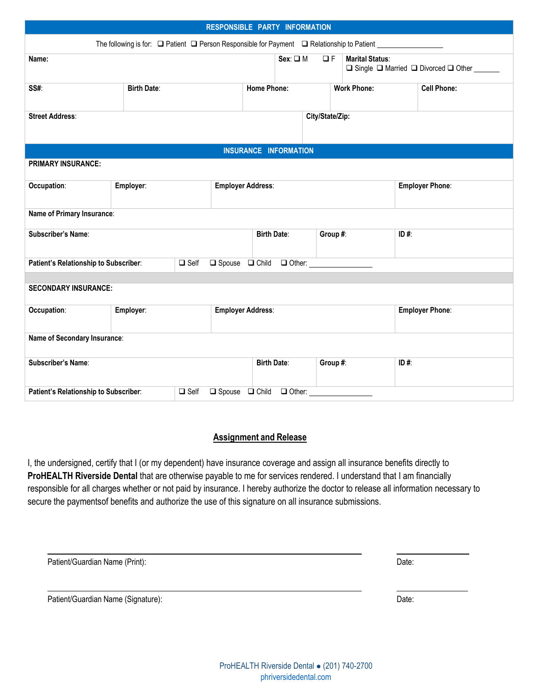| RESPONSIBLE PARTY INFORMATION                                                                                                |                                                                                                                  |                    |                              |          |                    |                    |                        |  |
|------------------------------------------------------------------------------------------------------------------------------|------------------------------------------------------------------------------------------------------------------|--------------------|------------------------------|----------|--------------------|--------------------|------------------------|--|
|                                                                                                                              | The following is for: $\Box$ Patient $\Box$ Person Responsible for Payment $\Box$ Relationship to Patient $\Box$ |                    |                              |          |                    |                    |                        |  |
| $Sex: \square M$<br>$\Box F$<br><b>Marital Status:</b><br>Name:<br>$\Box$ Single $\Box$ Married $\Box$ Divorced $\Box$ Other |                                                                                                                  |                    |                              |          |                    |                    |                        |  |
| SS#:                                                                                                                         | <b>Birth Date:</b>                                                                                               |                    | <b>Home Phone:</b>           |          | <b>Work Phone:</b> | <b>Cell Phone:</b> |                        |  |
| <b>Street Address:</b>                                                                                                       | City/State/Zip:                                                                                                  |                    |                              |          |                    |                    |                        |  |
|                                                                                                                              |                                                                                                                  |                    | <b>INSURANCE INFORMATION</b> |          |                    |                    |                        |  |
| <b>PRIMARY INSURANCE:</b>                                                                                                    |                                                                                                                  |                    |                              |          |                    |                    |                        |  |
| Occupation:                                                                                                                  | Employer:                                                                                                        |                    | <b>Employer Address:</b>     |          |                    |                    | <b>Employer Phone:</b> |  |
| Name of Primary Insurance:                                                                                                   |                                                                                                                  |                    |                              |          |                    |                    |                        |  |
| <b>Subscriber's Name:</b>                                                                                                    |                                                                                                                  | <b>Birth Date:</b> |                              | Group #: |                    |                    |                        |  |
|                                                                                                                              | $\Box$ Self<br>$\Box$ Spouse $\Box$ Child<br>$\Box$ Other: $\Box$<br>Patient's Relationship to Subscriber:       |                    |                              |          |                    |                    |                        |  |
| <b>SECONDARY INSURANCE:</b>                                                                                                  |                                                                                                                  |                    |                              |          |                    |                    |                        |  |
| Occupation:                                                                                                                  | Employer:                                                                                                        |                    | <b>Employer Address:</b>     |          |                    |                    | <b>Employer Phone:</b> |  |
| Name of Secondary Insurance:                                                                                                 |                                                                                                                  |                    |                              |          |                    |                    |                        |  |
| Subscriber's Name:                                                                                                           |                                                                                                                  |                    | <b>Birth Date:</b>           |          | Group #:           | ID#:               |                        |  |
| $\Box$ Self $\Box$ Spouse $\Box$ Child<br>$\Box$ Other:<br>Patient's Relationship to Subscriber:                             |                                                                                                                  |                    |                              |          |                    |                    |                        |  |

### **Assignment and Release**

I, the undersigned, certify that I (or my dependent) have insurance coverage and assign all insurance benefits directly to **ProHEALTH Riverside Dental** that are otherwise payable to me for services rendered. I understand that I am financially responsible for all charges whether or not paid by insurance. I hereby authorize the doctor to release all information necessary to secure the paymentsof benefits and authorize the use of this signature on all insurance submissions.

| Patient/Guardian Name (Print): | Date: |
|--------------------------------|-------|
|                                |       |
|                                |       |

Patient/Guardian Name (Signature): Date: Date: Date: Date: Date: Date: Date: Date: Date: Date: Date: Date: Date: Date: Date: Date: Date: Date: Date: Date: Date: Date: Date: Date: Date: Date: Date: Date: Date: Date: Date: D

ProHEALTH Riverside Dental ⚫ (201) 740-2700 <phriversidedental.com>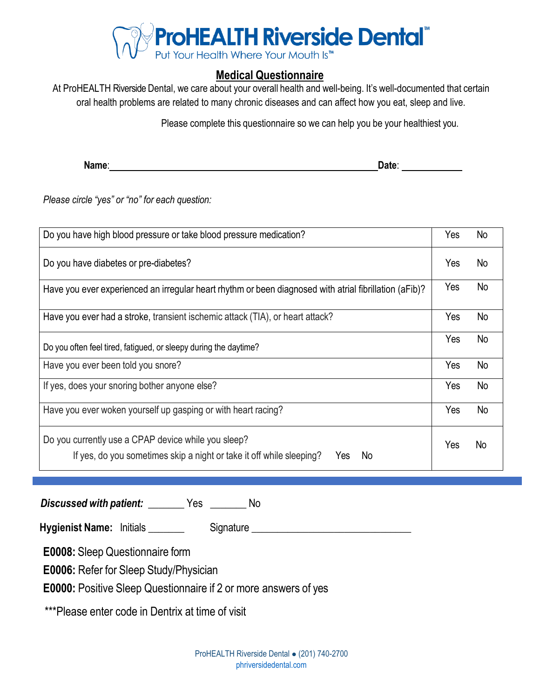

## **Medical Questionnaire**

At ProHEALTH Riverside Dental, we care about your overall health and well-being. It's well-documented that certain oral health problems are related to many chronic diseases and can affect how you eat, sleep and live.

Please complete this questionnaire so we can help you be your healthiest you.

**Name: Date: Date: Date: Date: Date: Date: Date: Date: Date: Date: Date: Date: Date: Date: Date: Date: Date: Date: Date: Date: Date: Date: Date: Date: Date: Date: Date:** 

*Please circle "yes" or "no" for each question:*

| Do you have high blood pressure or take blood pressure medication?                                                                       | Yes | No |
|------------------------------------------------------------------------------------------------------------------------------------------|-----|----|
| Do you have diabetes or pre-diabetes?                                                                                                    | Yes | No |
| Have you ever experienced an irregular heart rhythm or been diagnosed with atrial fibrillation (aFib)?                                   | Yes | No |
| Have you ever had a stroke, transient ischemic attack (TIA), or heart attack?                                                            | Yes | No |
| Do you often feel tired, fatigued, or sleepy during the daytime?                                                                         | Yes | No |
| Have you ever been told you snore?                                                                                                       | Yes | No |
| If yes, does your snoring bother anyone else?                                                                                            | Yes | No |
| Have you ever woken yourself up gasping or with heart racing?                                                                            | Yes | No |
| Do you currently use a CPAP device while you sleep?<br>If yes, do you sometimes skip a night or take it off while sleeping?<br>No<br>Yes | Yes | No |

*Discussed with patient:* **\_\_\_\_\_\_\_** Yes **\_\_\_\_\_\_\_** No

**Hygienist Name:** Initials **We are all Signature \_\_\_\_\_\_\_\_\_\_\_\_\_\_\_\_\_\_\_\_\_\_\_\_\_\_\_\_\_\_\_\_** 

**E0008:** Sleep Questionnaire form

**E0006:** Refer for Sleep Study/Physician

**E0000:** Positive Sleep Questionnaire if 2 or more answers of yes

\*\*\*Please enter code in Dentrix at time of visit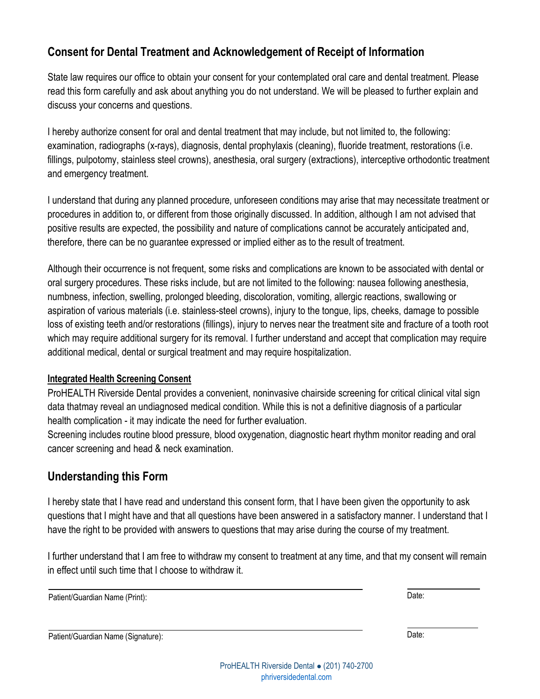## **Consent for Dental Treatment and Acknowledgement of Receipt of Information**

State law requires our office to obtain your consent for your contemplated oral care and dental treatment. Please read this form carefully and ask about anything you do not understand. We will be pleased to further explain and discuss your concerns and questions.

I hereby authorize consent for oral and dental treatment that may include, but not limited to, the following: examination, radiographs (x-rays), diagnosis, dental prophylaxis (cleaning), fluoride treatment, restorations (i.e. fillings, pulpotomy, stainless steel crowns), anesthesia, oral surgery (extractions), interceptive orthodontic treatment and emergency treatment.

I understand that during any planned procedure, unforeseen conditions may arise that may necessitate treatment or procedures in addition to, or different from those originally discussed. In addition, although I am not advised that positive results are expected, the possibility and nature of complications cannot be accurately anticipated and, therefore, there can be no guarantee expressed or implied either as to the result of treatment.

Although their occurrence is not frequent, some risks and complications are known to be associated with dental or oral surgery procedures. These risks include, but are not limited to the following: nausea following anesthesia, numbness, infection, swelling, prolonged bleeding, discoloration, vomiting, allergic reactions, swallowing or aspiration of various materials (i.e. stainless-steel crowns), injury to the tongue, lips, cheeks, damage to possible loss of existing teeth and/or restorations (fillings), injury to nerves near the treatment site and fracture of a tooth root which may require additional surgery for its removal. I further understand and accept that complication may require additional medical, dental or surgical treatment and may require hospitalization.

### **Integrated Health Screening Consent**

ProHEALTH Riverside Dental provides a convenient, noninvasive chairside screening for critical clinical vital sign data thatmay reveal an undiagnosed medical condition. While this is not a definitive diagnosis of a particular health complication - it may indicate the need for further evaluation.

Screening includes routine blood pressure, blood oxygenation, diagnostic heart rhythm monitor reading and oral cancer screening and head & neck examination.

## **Understanding this Form**

I hereby state that I have read and understand this consent form, that I have been given the opportunity to ask questions that I might have and that all questions have been answered in a satisfactory manner. I understand that I have the right to be provided with answers to questions that may arise during the course of my treatment.

I further understand that I am free to withdraw my consent to treatment at any time, and that my consent will remain in effect until such time that I choose to withdraw it.

Patient/Guardian Name (Print): Date:

Patient/Guardian Name (Signature): Date: Date: Date: Date: Date: Date: Date: Date: Date: Date: Date: Date: Date: Date: Date: Date: Date: Date: Date: Date: Date: Date: Date: Date: Date: Date: Date: Date: Date: Date: Date: D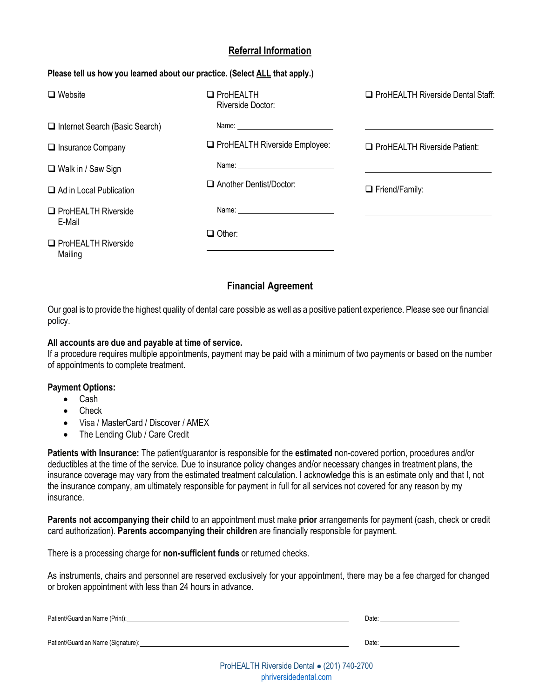### **Referral Information**

#### **Please tell us how you learned about our practice. (Select ALL that apply.)**

| $\Box$ Website                          | $\Box$ ProHEALTH<br>Riverside Doctor: | <b>Q</b> ProHEALTH Riverside Dental Staff: |
|-----------------------------------------|---------------------------------------|--------------------------------------------|
| $\Box$ Internet Search (Basic Search)   |                                       |                                            |
| $\Box$ Insurance Company                | $\Box$ ProHEALTH Riverside Employee:  | <b>Q</b> ProHEALTH Riverside Patient:      |
| $\Box$ Walk in / Saw Sign               |                                       |                                            |
| $\Box$ Ad in Local Publication          | $\Box$ Another Dentist/Doctor:        | $\Box$ Friend/Family:                      |
| <b>O</b> ProHEALTH Riverside<br>E-Mail  |                                       |                                            |
| <b>O</b> ProHEALTH Riverside<br>Mailing | $\Box$ Other:                         |                                            |

### **Financial Agreement**

Our goal is to provide the highest quality of dental care possible as well as a positive patient experience. Please see our financial policy.

#### **All accounts are due and payable at time of service.**

If a procedure requires multiple appointments, payment may be paid with a minimum of two payments or based on the number of appointments to complete treatment.

#### **Payment Options:**

- Cash
- Check
- Visa / MasterCard / Discover / AMEX
- The Lending Club / Care Credit

**Patients with Insurance:** The patient/guarantor is responsible for the **estimated** non-covered portion, procedures and/or deductibles at the time of the service. Due to insurance policy changes and/or necessary changes in treatment plans, the insurance coverage may vary from the estimated treatment calculation. I acknowledge this is an estimate only and that I, not the insurance company, am ultimately responsible for payment in full for all services not covered for any reason by my insurance.

**Parents not accompanying their child** to an appointment must make **prior** arrangements for payment (cash, check or credit card authorization). **Parents accompanying their children** are financially responsible for payment.

There is a processing charge for **non-sufficient funds** or returned checks.

As instruments, chairs and personnel are reserved exclusively for your appointment, there may be a fee charged for changed or broken appointment with less than 24 hours in advance.

| Patient/Guardian Name (Print):     | Date: |
|------------------------------------|-------|
| Patient/Guardian Name (Signature): | Date: |
|                                    |       |

ProHEALTH Riverside Dental ⚫ (201) 740-2700 <phriversidedental.com>